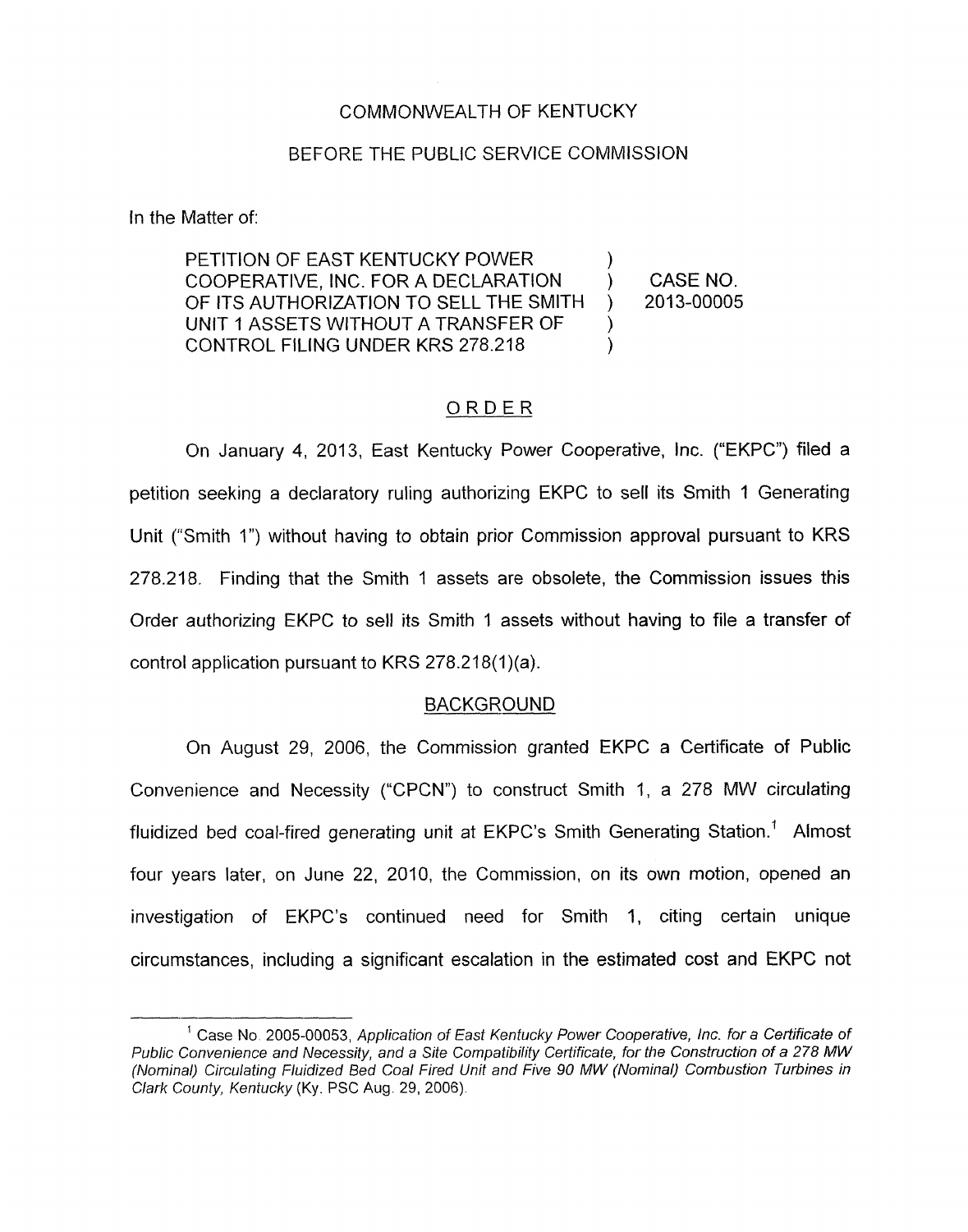### COMMONWEALTH OF KENTUCKY

#### BEFORE THE PUBLIC SERVICE COMMISSION

In the Matter of:

PETITION OF EAST KENTUCKY POWER COOPERATIVE, INC. FOR A DECLARATION ) CASENO. OF ITS AUTHORIZATION TO SELL THE SMITH ) 2013-00005 UNIT 1 ASSETS WITHOUT A TRANSFER OF CONTROL FILING UNDER KRS 278.218 1 ) )

### ORDER

On January **4,** 2013, East Kentucky Power Cooperative, Inc. ("EKPC") filed a petition seeking a declaratory ruling authorizing EKPC to sell its Smith 1 Generating Unit ("Smith I") without having to obtain prior Commission approval pursuant to KRS 278.218. Finding that the Smith I assets are obsolete, the Commission issues this Order authorizing EKPC to sell its Smith 1 assets without having to file a transfer of control application pursuant to KRS  $278.218(1)(a)$ .

#### BACKGROUND

On August 29, 2006, the Commission granted EKPC a Certificate of Public Convenience and Necessity ("CPCN") to construct Smith 1, a 278 MW circulating fluidized bed coal-fired generating unit at EKPC's Smith Generating Station.' Almost four years later, on June 22, 2010, the Commission, on its own motion, opened an investigation of EKPC's continued need for Smith 1, citing certain unique circumstances, including a significant escalation in the estimated cost and EKPC not

<sup>&</sup>lt;sup>1</sup> Case No. 2005-00053, Application of East Kentucky Power Cooperative, Inc. for a Certificate of *Public Convenience and Necessity, and a Site Compafibilify Cetfificate, for the Construction of a 278 MW (Nominal) Circulating Fluidized Bed Coal Fired Unit and Five* 90 *MW (Nominal) Combustion Turbines in Clark County, Kentucky* (Ky. PSC Aug. 29, 2006).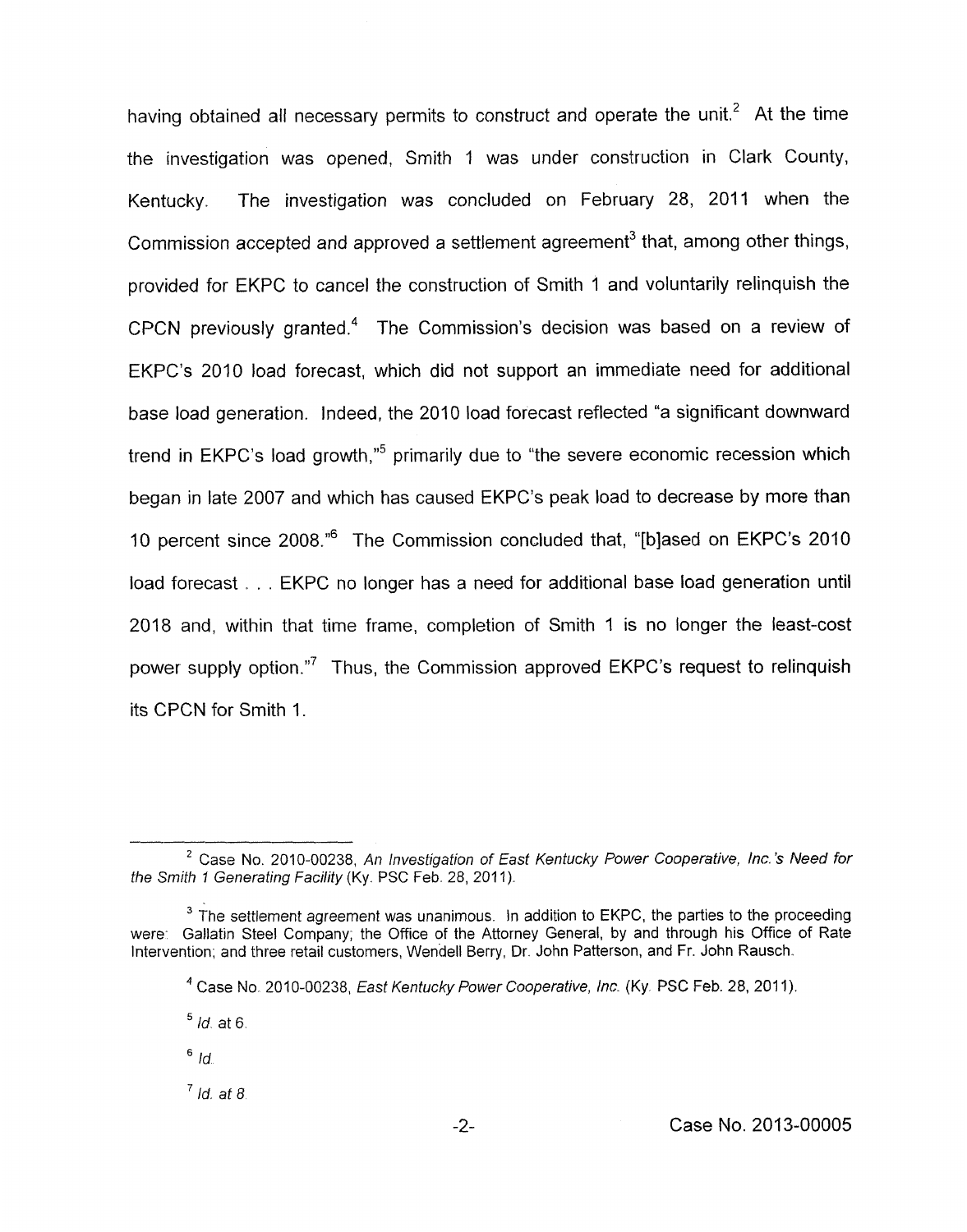having obtained all necessary permits to construct and operate the unit.<sup>2</sup> At the time the investigation was opened, Smith 1 was under construction in Clark County, Kentucky. The investigation was concluded on February 28, 2011 when the Commission accepted and approved a settlement agreement<sup>3</sup> that, among other things, provided for EKPC to cancel the construction of Smith 1 and voluntarily relinquish the CPCN previously granted.4 The Commission's decision was based on a review of EKPC's 2010 load forecast, which did not support an immediate need for additional base load generation. Indeed, the 2010 load forecast reflected "a significant downward trend in EKPC's load growth,"<sup>5</sup> primarily due to "the severe economic recession which began in late 2007 and which has caused EKPC's peak load to decrease by more than 10 percent since 2008."6 The Commission concluded that, "[blased on EKPC's 2010 load forecast . . . EKPC no longer has a need for additional base load generation until 2018 and, within that time frame, completion of Smith 1 is no longer the least-cost power supply option."<sup>7</sup> Thus, the Commission approved EKPC's request to relinquish its CPCN for Smith 1.

 $<sup>7</sup>$  *Id.* at 8</sup>

<sup>&</sup>lt;sup>2</sup> Case No. 2010-00238, An Investigation of East Kentucky Power Cooperative, Inc.'s Need for the Smith 1 Generating Facility (Ky. PSC Feb. 28, 2011).

<sup>&</sup>lt;sup>3</sup> The settlement agreement was unanimous. In addition to EKPC, the parties to the proceeding were: Gallatin Steel Company; the Office of the Attorney General, by and through his Office of Rate Intervention; and three retail customers, Wendell Berry, Dr. John Patterson, and Fr. John Rausch.

Case No. 2010-00238, *East* Kentucky Power Cooperative, *Inc.* (Ky. PSC Feb. 28, 201 I). **4** 

 $<sup>5</sup>$  *Id.* at 6.</sup>

 $6/d$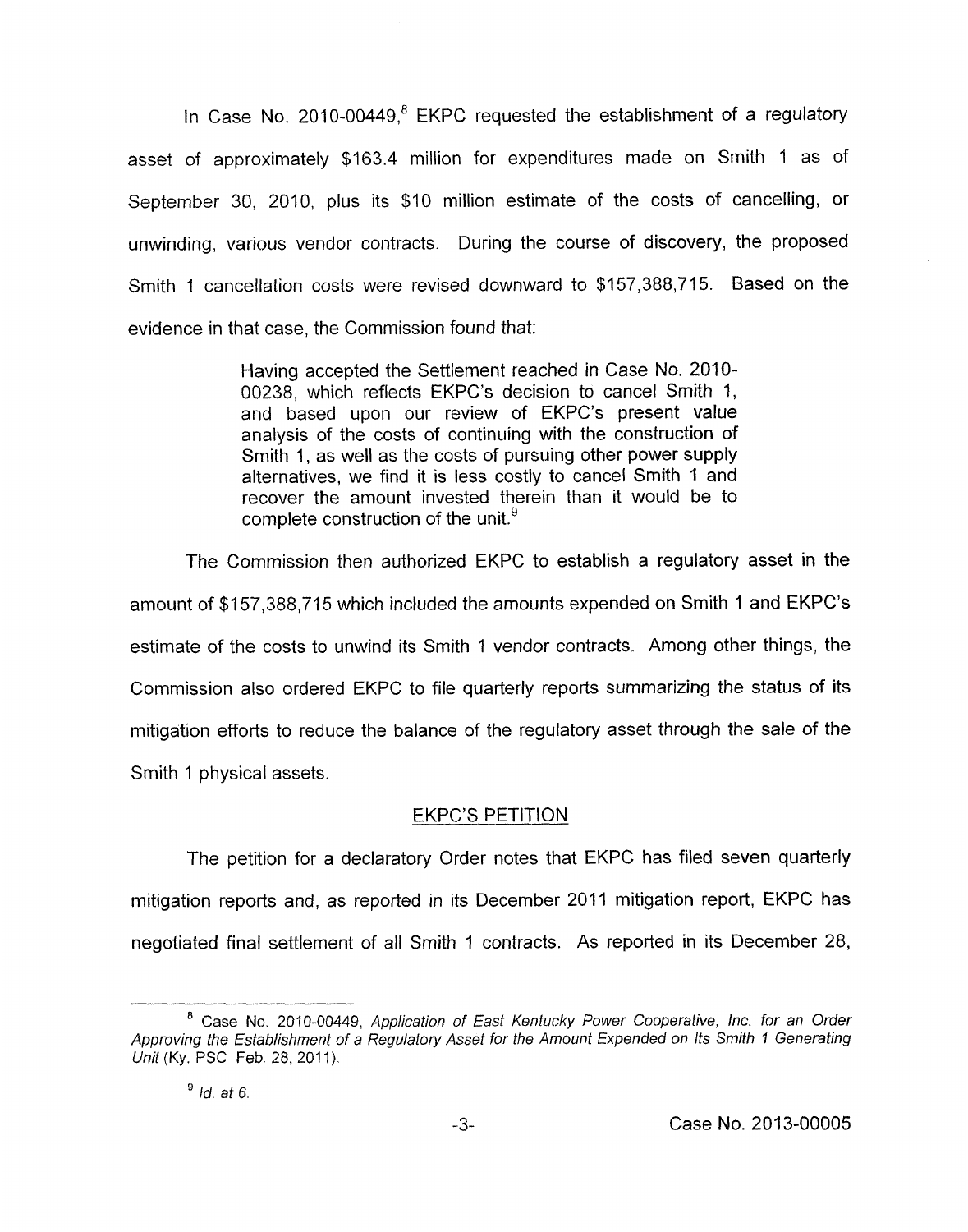In Case No. 2010-00449, $8$  EKPC requested the establishment of a regulatory asset of approximately \$163.4 million for expenditures made on Smith 1 as of September 30, 2010, plus its \$10 million estimate of the costs of cancelling, or unwinding, various vendor contracts. During the course of discovery, the proposed Smith 1 cancellation costs were revised downward to \$157,388,715. Based on the evidence in that case, the Commission found that:

> Having accepted the Settlement reached in Case No. 2010- 00238, which reflects EKPC's decision to cancel Smith 1, and based upon our review of EKPC's present value analysis of the costs of continuing with the construction of Smith 1, as well as the costs of pursuing other power supply alternatives, we find it is less costly to cancel Smith 1 and recover the amount invested therein than it would be to complete construction of the unit.<sup>9</sup>

The Commission then authorized EKPC to establish a regulatory asset in the amount of \$157,388,715 which included the amounts expended on Smith 1 and EKPC's estimate of the costs to unwind its Smith 1 vendor contracts. Among other things, the Commission also ordered EKPC to file quarterly reports summarizing the status of its mitigation efforts to reduce the balance of the regulatory asset through the sale of the Smith 1 physical assets.

## **EKPC'S PETITION**

The petition for a declaratory Order notes that EKPC has filed seven quarterly mitigation reports and, as reported in its December 2011 mitigation report, EKPC has negotiated final settlement of all Smith 1 contracts. As reported in its December 28,

<sup>&</sup>lt;sup>8</sup> Case No. 2010-00449, Application of East Kentucky Power Cooperative, Inc. for an Order *Approving the Establishment of a Regulatory Asset for the Amount Expended on Its Smith I Generating Unit* (Ky. PSC Feb. 28, 2011).

*Id at 6.*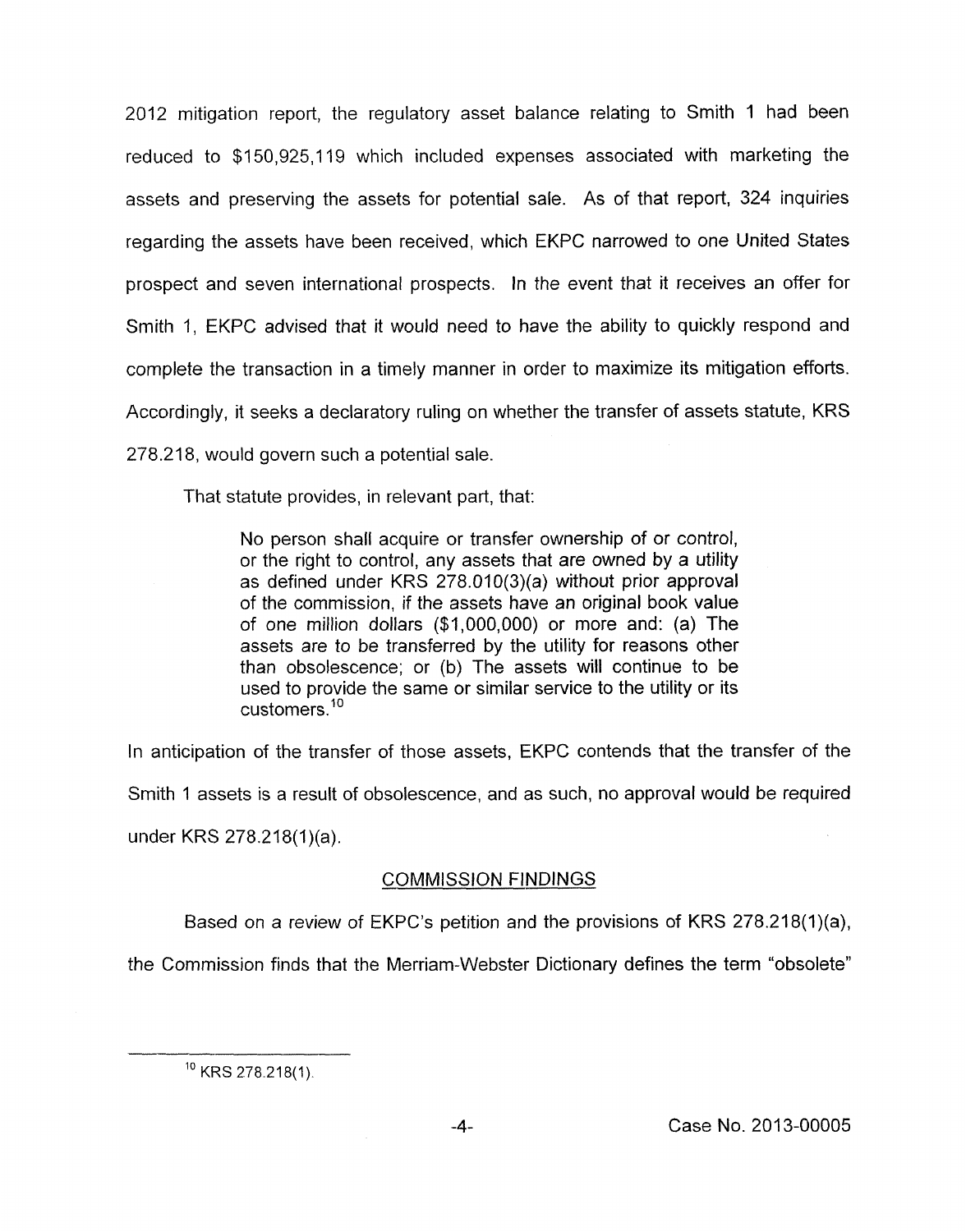2012 mitigation report, the regulatory asset balance relating to Smith 1 had been reduced to \$1 50,925,119 which included expenses associated with marketing the assets and preserving the assets for potential sale. As of that report, 324 inquiries regarding the assets have been received, which EKPC narrowed to one United States prospect and seven international prospects. In the event that it receives an offer for Smith 1, EKPC advised that it would need to have the ability to quickly respond and complete the transaction in a timely manner in order to maximize its mitigation efforts. Accordingly, it seeks a declaratory ruling on whether the transfer of assets statute, KRS 278.218, would govern such a potential sale.

That statute provides, in relevant part, that:

No person shall acquire or transfer ownership of or control, or the right to control, any assets that are owned by a utility as defined under KRS 278.010(3)(a) without prior approval of the commission, if the assets have an original book value of one million dollars (\$1,000,000) or more and: (a) The assets are to be transferred by the utility for reasons other than obsolescence; or (b) The assets will continue to be used to provide the same or similar service to the utility or its customers.<sup>10</sup>

In anticipation of the transfer of those assets, EKPC contends that the transfer of the

Smith 1 assets is a result of obsolescence, and as such, no approval would be required

under KRS 278.218(1)(a).

# - COMMISSION FINDINGS

Based on a review of EKPC's petition and the provisions of KRS 278.218(1)(a),

the Commission finds that the Merriam-Webster Dictionary defines the term "obsolete"

 $10$  KRS 278.218(1).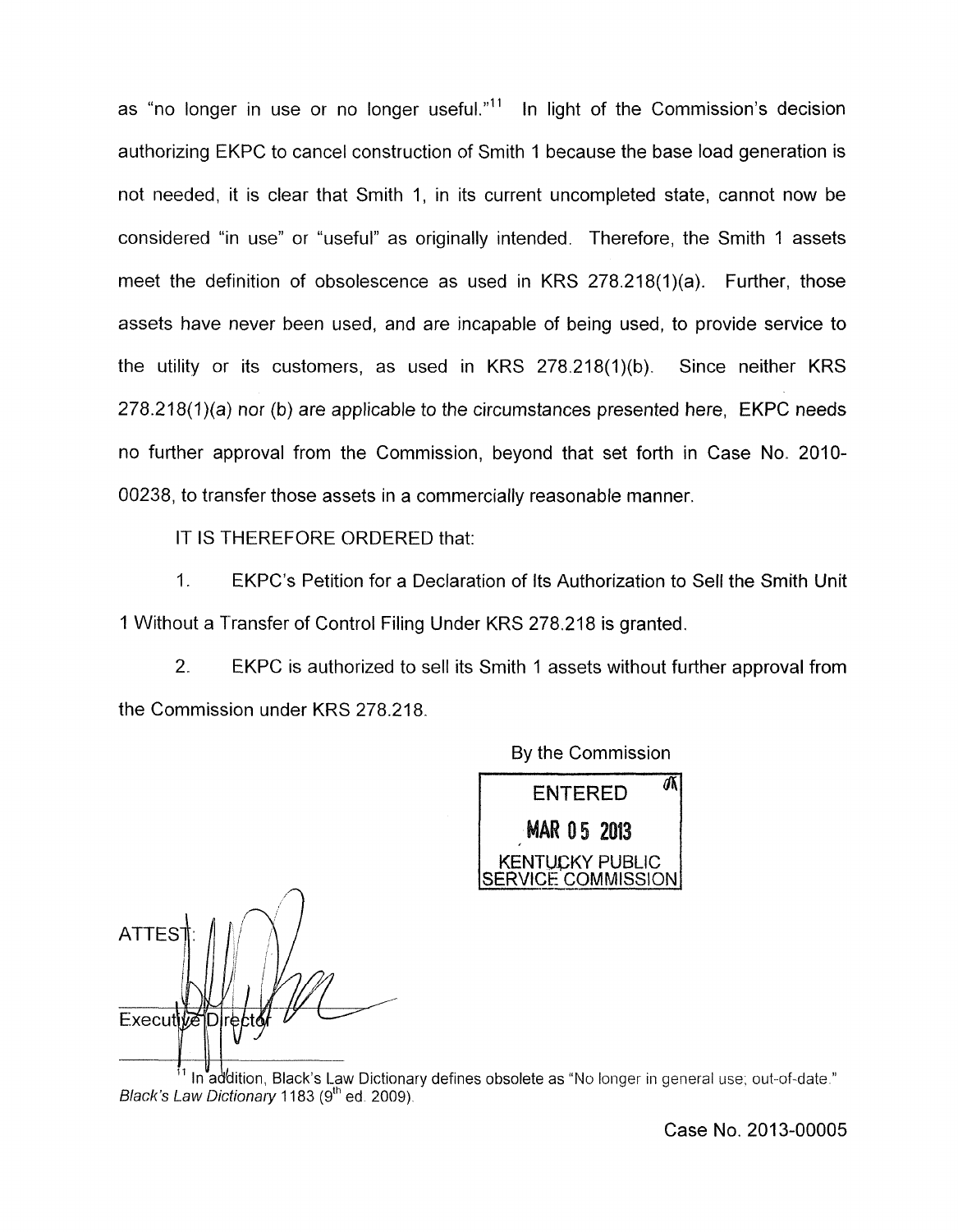as "no longer in use or no longer useful." $11$  In light of the Commission's decision authorizing EKPC to cancel construction of Smith 1 because the base load generation is not needed, it is clear that Smith 1, in its current uncompleted state, cannot now be considered "in use" or "useful" as originally intended. Therefore, the Smith 1 assets meet the definition of obsolescence as used in KRS 278.218(1)(a). Further, those assets have never been used, and are incapable of being used, to provide service to the utility or its customers, as used in KRS 278.218(1)(b). Since neither KRS 278.218(1)(a) nor (b) are applicable to the circumstances presented here, **EKPC** needs no further approval from the Commission, beyond that set forth in Case No. 2010- 00238, to transfer those assets in a commercially reasonable manner

IT IS THEREFORE ORDERED that:

1. EKPC's Petition for a Declaration of Its Authorization to Sell the Smith Unit 1 Without a Transfer of Control Filing Under KRS 278.218 is granted.

2. EKPC is authorized to sell its Smith 1 assets without further approval from the Commission under KRS 278.218

By the Commission

ENTERED<sup>a</sup> MAR 0.5 2013 NTUCKY PUBLIC E COMMISSION

**ATTES**  $Executiv\vec{e}$ 

In addition, Black's Law Dictionary defines obsolete as "No longer in general use; out-of-date." *Black's Law Dictionary* 1183 (9<sup>th</sup> ed. 2009).

Case No. 2013-00005